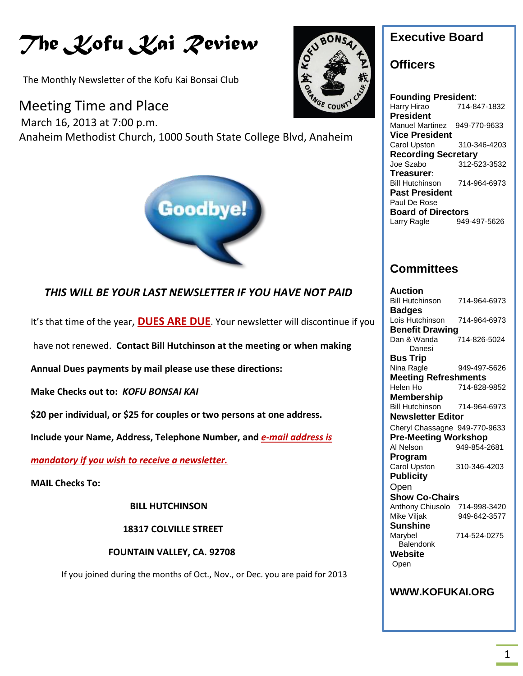# *The Kofu Kai Review*

The Monthly Newsletter of the Kofu Kai Bonsai Club

### Meeting Time and Place

 March 16, 2013 at 7:00 p.m. Anaheim Methodist Church, 1000 South State College Blvd, Anaheim



### *THIS WILL BE YOUR LAST NEWSLETTER IF YOU HAVE NOT PAID*

It's that time of the year, **DUES ARE DUE**. Your newsletter will discontinue if you

have not renewed. **Contact Bill Hutchinson at the meeting or when making** 

**Annual Dues payments by mail please use these directions:**

**Make Checks out to:** *KOFU BONSAI KAI*

**\$20 per individual, or \$25 for couples or two persons at one address.**

**Include your Name, Address, Telephone Number, and** *e-mail address is* 

*mandatory if you wish to receive a newsletter.*

**MAIL Checks To:** 

 **BILL HUTCHINSON**

**18317 COLVILLE STREET**

#### **FOUNTAIN VALLEY, CA. 92708**

If you joined during the months of Oct., Nov., or Dec. you are paid for 2013



### **Executive Board**

### **Officers**

**Founding President**: Harry Hirao 714-847-1832 **President** Manuel Martinez 949-770-9633 **Vice President** Carol Upston 310-346-4203 **Recording Secretary** Joe Szabo 312-523-3532 **Treasurer**: Bill Hutchinson 714-964-6973 **Past President** Paul De Rose **Board of Directors** Larry Ragle 949-497-5626

### **Committees**

| Auction                       |              |
|-------------------------------|--------------|
| <b>Bill Hutchinson</b>        | 714-964-6973 |
| <b>Badges</b>                 |              |
| Lois Hutchinson               | 714-964-6973 |
| <b>Benefit Drawing</b>        |              |
| Dan & Wanda                   | 714-826-5024 |
| Danesi                        |              |
| Bus Trip                      |              |
| Nina Ragle                    | 949-497-5626 |
| <b>Meeting Refreshments</b>   |              |
| Helen Ho                      | 714-828-9852 |
| <b>Membership</b>             |              |
| <b>Bill Hutchinson</b>        | 714-964-6973 |
| <b>Newsletter Editor</b>      |              |
| Cheryl Chassagne 949-770-9633 |              |
| <b>Pre-Meeting Workshop</b>   |              |
| Al Nelson                     | 949-854-2681 |
| Program                       |              |
| <b>Carol Upston</b>           | 310-346-4203 |
| <b>Publicity</b>              |              |
| Open                          |              |
| <b>Show Co-Chairs</b>         |              |
| Anthony Chiusolo              | 714-998-3420 |
| Mike Viljak                   | 949-642-3577 |
| Sunshine                      |              |
| Marybel                       | 714-524-0275 |
| Balendonk                     |              |
| Website                       |              |
| Open                          |              |
|                               |              |
|                               |              |
| <b>WWW.KOFUKAI.ORG</b>        |              |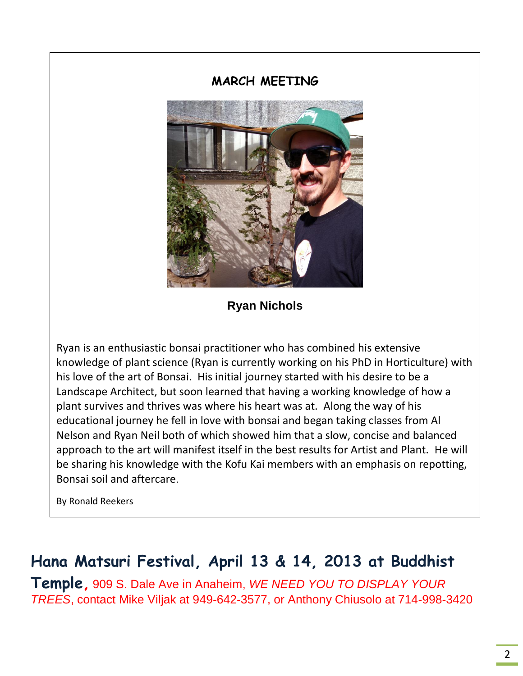### **MARCH MEETING**



**Ryan Nichols**

Ryan is an enthusiastic bonsai practitioner who has combined his extensive knowledge of plant science (Ryan is currently working on his PhD in Horticulture) with his love of the art of Bonsai. His initial journey started with his desire to be a Landscape Architect, but soon learned that having a working knowledge of how a plant survives and thrives was where his heart was at. Along the way of his educational journey he fell in love with bonsai and began taking classes from Al Nelson and Ryan Neil both of which showed him that a slow, concise and balanced approach to the art will manifest itself in the best results for Artist and Plant. He will be sharing his knowledge with the Kofu Kai members with an emphasis on repotting, Bonsai soil and aftercare.

By Ronald Reekers

## **Hana Matsuri Festival, April 13 & 14, 2013 at Buddhist**

**Temple,** 909 S. Dale Ave in Anaheim, *WE NEED YOU TO DISPLAY YOUR TREES*, contact Mike Viljak at 949-642-3577, or Anthony Chiusolo at 714-998-3420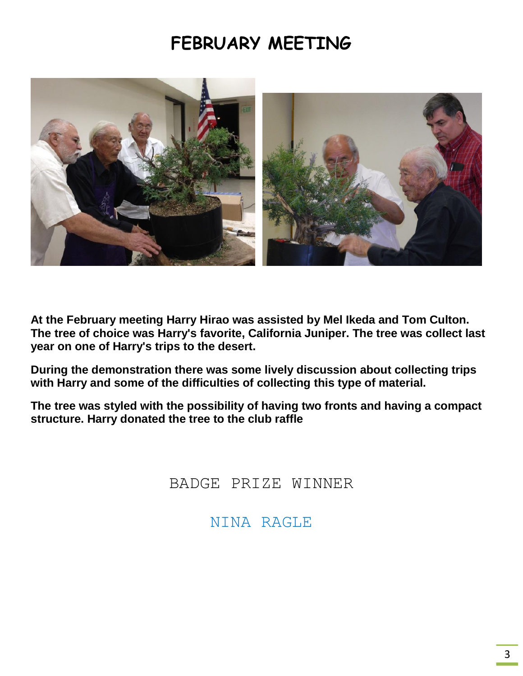## **FEBRUARY MEETING**



**At the February meeting Harry Hirao was assisted by Mel Ikeda and Tom Culton. The tree of choice was Harry's favorite, California Juniper. The tree was collect last year on one of Harry's trips to the desert.**

**During the demonstration there was some lively discussion about collecting trips with Harry and some of the difficulties of collecting this type of material.**

**The tree was styled with the possibility of having two fronts and having a compact structure. Harry donated the tree to the club raffle**

BADGE PRIZE WINNER

NINA RAGLE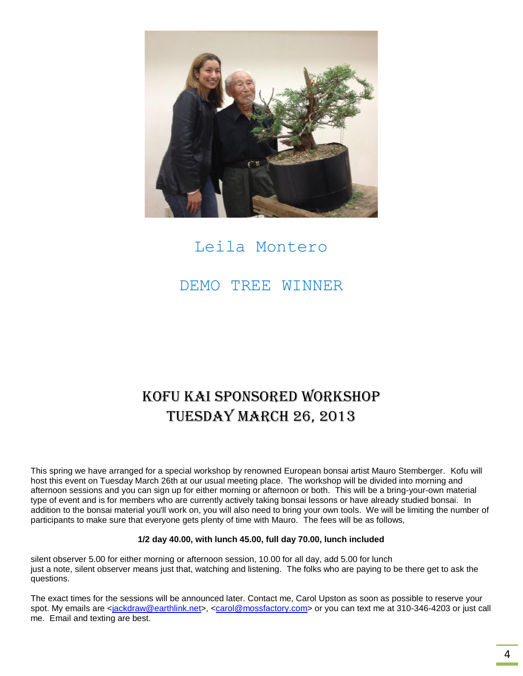

## Leila Montero

DEMO TREE WINNER

## KOFU KAI Sponsored WORKSHOP TUESDAY MARCH 26, 2013

This spring we have arranged for a special workshop by renowned European bonsai artist Mauro Stemberger. Kofu will host this event on Tuesday March 26th at our usual meeting place. The workshop will be divided into morning and afternoon sessions and you can sign up for either morning or afternoon or both. This will be a bring-your-own material type of event and is for members who are currently actively taking bonsai lessons or have already studied bonsai. In addition to the bonsai material you'll work on, you will also need to bring your own tools. We will be limiting the number of participants to make sure that everyone gets plenty of time with Mauro. The fees will be as follows,

#### **1/2 day 40.00, with lunch 45.00, full day 70.00, lunch included**

silent observer 5.00 for either morning or afternoon session, 10.00 for all day, add 5.00 for lunch just a note, silent observer means just that, watching and listening. The folks who are paying to be there get to ask the questions.

The exact times for the sessions will be announced later. Contact me, Carol Upston as soon as possible to reserve your spot. My emails are [<jackdraw@earthlink.net>](mailto:jackdraw@earthlink.net), [<carol@mossfactory.com>](mailto:carol@mossfactory.com) or you can text me at 310-346-4203 or just call me. Email and texting are best.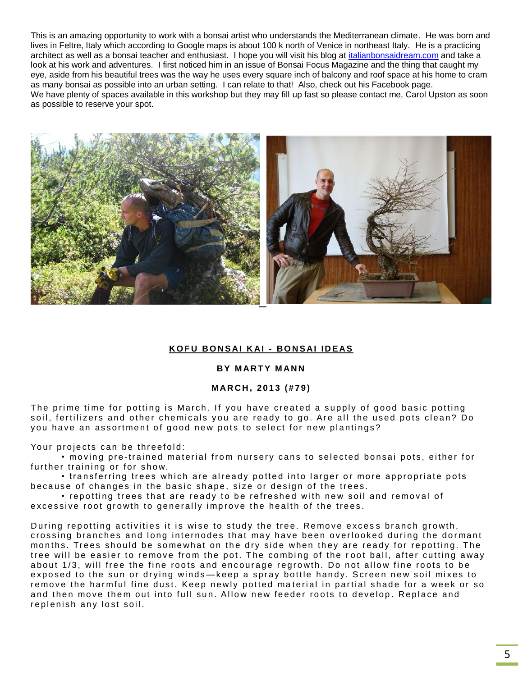This is an amazing opportunity to work with a bonsai artist who understands the Mediterranean climate. He was born and lives in Feltre, Italy which according to Google maps is about 100 k north of Venice in northeast Italy. He is a practicing architect as well as a bonsai teacher and enthusiast. I hope you will visit his blog at [italianbonsaidream.com](http://italianbonsaidream.com/) and take a look at his work and adventures. I first noticed him in an issue of Bonsai Focus Magazine and the thing that caught my eye, aside from his beautiful trees was the way he uses every square inch of balcony and roof space at his home to cram as many bonsai as possible into an urban setting. I can relate to that! Also, check out his Facebook page. We have plenty of spaces available in this workshop but they may fill up fast so please contact me, Carol Upston as soon as possible to reserve your spot.



#### **K O F U BO N S AI K AI - BO N S AI I D EAS**

#### **BY MARTY MANN**

#### **M AR C H , 2 0 13 ( # 7 9 )**

The prime time for potting is March. If you have created a supply of good basic potting soil, fertilizers and other chemicals you are ready to go. Are all the used pots clean? Do you have an assortment of good new pots to select for new plantings?

Your projects can be threefold:

• moving pre-trained material from nursery cans to selected bonsai pots, either for further training or for show.

• transferring trees which are already potted into larger or more appropriate pots because of changes in the basic shape, size or design of the trees.

• repotting trees that are ready to be refreshed with new soil and removal of excessive root growth to generally improve the health of the trees.

During repotting activities it is wise to study the tree. Remove excess branch growth, crossing branches and long internodes that may have been overlooked during the dormant months. Trees should be somewhat on the dry side when they are ready for repotting. The tree will be easier to remove from the pot. The combing of the root ball, after cutting away about 1/3, will free the fine roots and encourage regrowth. Do not allow fine roots to be exposed to the sun or drying winds—keep a spray bottle handy. Screen new soil mixes to remove the harmful fine dust. Keep newly potted material in partial shade for a week or so and then move them out into full sun. Allow new feeder roots to develop. Replace and replenish any lost soil.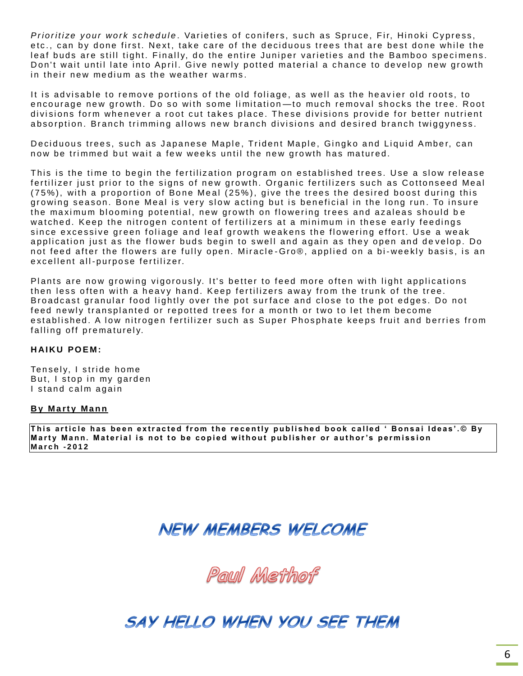*Prioritize your work schedule.* Varieties of conifers, such as Spruce, Fir, Hinoki Cypress, etc., can by done first. Next, take care of the deciduous trees that are best done while the leaf buds are still tight. Finally, do the entire Juniper varieties and the Bamboo specimens. Don't wait until late into April. Give newly potted material a chance to develop new growth in their new medium as the weather warms.

It is advisable to remove portions of the old foliage, as well as the heavier old roots, to encourage new growth. Do so with some limitation—to much removal shocks the tree. Root divisions form whenever a root cut takes place. These divisions provide for better nutrient absorption. Branch trimming allows new branch divisions and desired branch twiggyness.

Deciduous trees, such as Japanese Maple, Trident Maple, Gingko and Liquid Amber, can now be trimmed but wait a few weeks until the new growth has matured.

This is the time to begin the fertilization program on established trees. Use a slow release fertilizer just prior to the signs of new growth. Organic fertilizers such as Cottonseed Meal ( $75\%$ ), with a proportion of Bone Meal ( $25\%$ ), give the trees the desired boost during this growing season. Bone Meal is very slow acting but is beneficial in the long run. To insure the maximum blooming potential, new growth on flowering trees and azaleas should be watched. Keep the nitrogen content of fertilizers at a minimum in these early feedings since excessive green foliage and leaf growth weakens the flowering effort. Use a weak application just as the flower buds begin to swell and again as they open and develop. Do not feed after the flowers are fully open. Miracle-Gro®, applied on a bi-weekly basis, is an excellent all-purpose fertilizer.

Plants are now growing vigorously. It's better to feed more often with light applications then less often with a heavy hand. Keep fertilizers away from the trunk of the tree. Broadcast granular food lightly over the pot surface and close to the pot edges. Do not feed newly transplanted or repotted trees for a month or two to let them become established. A low nitrogen fertilizer such as Super Phosphate keeps fruit and berries from falling off prematurely.

#### **HAIKU POEM:**

Tensely, I stride home But, I stop in my garden I stand calm again

#### **By Marty Mann**

This article has been extracted from the recently published book called 'Bonsai Ideas'.© By Marty Mann. Material is not to be copied without publisher or author's permission **M a r c h - 2 0 1 2**

## **NEW MEMBERS WELCOME**

Paul Methof

## SAY HELLO WHEN YOU SEE THEM